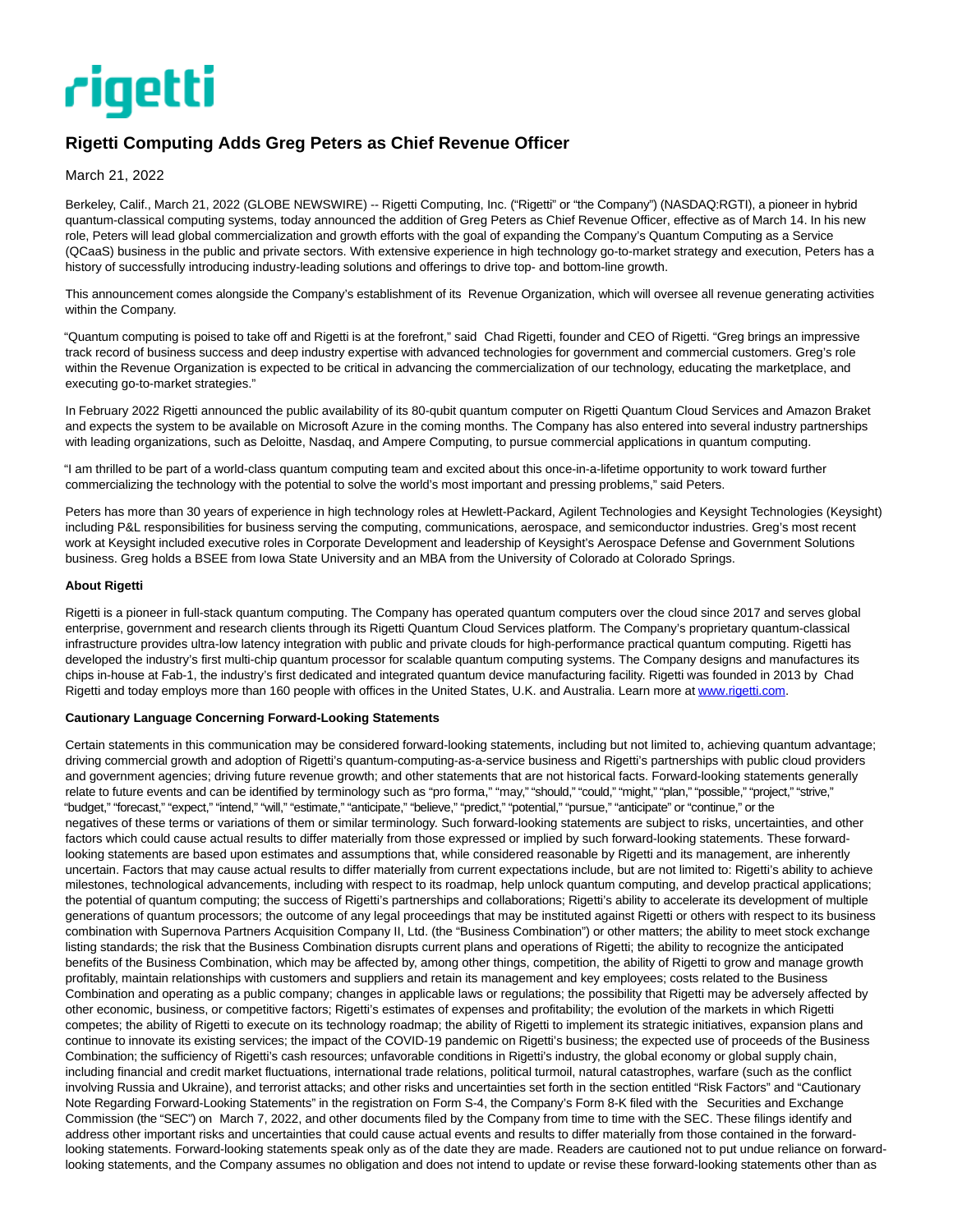

## **Rigetti Computing Adds Greg Peters as Chief Revenue Officer**

March 21, 2022

Berkeley, Calif., March 21, 2022 (GLOBE NEWSWIRE) -- Rigetti Computing, Inc. ("Rigetti" or "the Company") (NASDAQ:RGTI), a pioneer in hybrid quantum-classical computing systems, today announced the addition of Greg Peters as Chief Revenue Officer, effective as of March 14. In his new role, Peters will lead global commercialization and growth efforts with the goal of expanding the Company's Quantum Computing as a Service (QCaaS) business in the public and private sectors. With extensive experience in high technology go-to-market strategy and execution, Peters has a history of successfully introducing industry-leading solutions and offerings to drive top- and bottom-line growth.

This announcement comes alongside the Company's establishment of its Revenue Organization, which will oversee all revenue generating activities within the Company.

"Quantum computing is poised to take off and Rigetti is at the forefront," said Chad Rigetti, founder and CEO of Rigetti. "Greg brings an impressive track record of business success and deep industry expertise with advanced technologies for government and commercial customers. Greg's role within the Revenue Organization is expected to be critical in advancing the commercialization of our technology, educating the marketplace, and executing go-to-market strategies."

In February 2022 Rigetti announced the public availability of its 80-qubit quantum computer on Rigetti Quantum Cloud Services and Amazon Braket and expects the system to be available on Microsoft Azure in the coming months. The Company has also entered into several industry partnerships with leading organizations, such as Deloitte, Nasdaq, and Ampere Computing, to pursue commercial applications in quantum computing.

"I am thrilled to be part of a world-class quantum computing team and excited about this once-in-a-lifetime opportunity to work toward further commercializing the technology with the potential to solve the world's most important and pressing problems," said Peters.

Peters has more than 30 years of experience in high technology roles at Hewlett-Packard, Agilent Technologies and Keysight Technologies (Keysight) including P&L responsibilities for business serving the computing, communications, aerospace, and semiconductor industries. Greg's most recent work at Keysight included executive roles in Corporate Development and leadership of Keysight's Aerospace Defense and Government Solutions business. Greg holds a BSEE from Iowa State University and an MBA from the University of Colorado at Colorado Springs.

## **About Rigetti**

Rigetti is a pioneer in full-stack quantum computing. The Company has operated quantum computers over the cloud since 2017 and serves global enterprise, government and research clients through its Rigetti Quantum Cloud Services platform. The Company's proprietary quantum-classical infrastructure provides ultra-low latency integration with public and private clouds for high-performance practical quantum computing. Rigetti has developed the industry's first multi-chip quantum processor for scalable quantum computing systems. The Company designs and manufactures its chips in-house at Fab-1, the industry's first dedicated and integrated quantum device manufacturing facility. Rigetti was founded in 2013 by Chad Rigetti and today employs more than 160 people with offices in the United States, U.K. and Australia. Learn more at www.rigetti.com.

## **Cautionary Language Concerning Forward-Looking Statements**

Certain statements in this communication may be considered forward-looking statements, including but not limited to, achieving quantum advantage; driving commercial growth and adoption of Rigetti's quantum-computing-as-a-service business and Rigetti's partnerships with public cloud providers and government agencies; driving future revenue growth; and other statements that are not historical facts. Forward-looking statements generally relate to future events and can be identified by terminology such as "pro forma," "may," "should," "could," "might," "plan," "possible," "project," "strive," "budget," "forecast," "expect," "intend," "will," "estimate," "anticipate," "believe," "predict," "potential," "pursue," "anticipate" or "continue," or the negatives of these terms or variations of them or similar terminology. Such forward-looking statements are subject to risks, uncertainties, and other factors which could cause actual results to differ materially from those expressed or implied by such forward-looking statements. These forwardlooking statements are based upon estimates and assumptions that, while considered reasonable by Rigetti and its management, are inherently uncertain. Factors that may cause actual results to differ materially from current expectations include, but are not limited to: Rigetti's ability to achieve milestones, technological advancements, including with respect to its roadmap, help unlock quantum computing, and develop practical applications; the potential of quantum computing; the success of Rigetti's partnerships and collaborations; Rigetti's ability to accelerate its development of multiple generations of quantum processors; the outcome of any legal proceedings that may be instituted against Rigetti or others with respect to its business combination with Supernova Partners Acquisition Company II, Ltd. (the "Business Combination") or other matters; the ability to meet stock exchange listing standards; the risk that the Business Combination disrupts current plans and operations of Rigetti; the ability to recognize the anticipated benefits of the Business Combination, which may be affected by, among other things, competition, the ability of Rigetti to grow and manage growth profitably, maintain relationships with customers and suppliers and retain its management and key employees; costs related to the Business Combination and operating as a public company; changes in applicable laws or regulations; the possibility that Rigetti may be adversely affected by other economic, business, or competitive factors; Rigetti's estimates of expenses and profitability; the evolution of the markets in which Rigetti competes; the ability of Rigetti to execute on its technology roadmap; the ability of Rigetti to implement its strategic initiatives, expansion plans and continue to innovate its existing services; the impact of the COVID-19 pandemic on Rigetti's business; the expected use of proceeds of the Business Combination; the sufficiency of Rigetti's cash resources; unfavorable conditions in Rigetti's industry, the global economy or global supply chain, including financial and credit market fluctuations, international trade relations, political turmoil, natural catastrophes, warfare (such as the conflict involving Russia and Ukraine), and terrorist attacks; and other risks and uncertainties set forth in the section entitled "Risk Factors" and "Cautionary Note Regarding Forward-Looking Statements" in the registration on Form S-4, the Company's Form 8-K filed with the Securities and Exchange Commission (the "SEC") on March 7, 2022, and other documents filed by the Company from time to time with the SEC. These filings identify and address other important risks and uncertainties that could cause actual events and results to differ materially from those contained in the forwardlooking statements. Forward-looking statements speak only as of the date they are made. Readers are cautioned not to put undue reliance on forwardlooking statements, and the Company assumes no obligation and does not intend to update or revise these forward-looking statements other than as